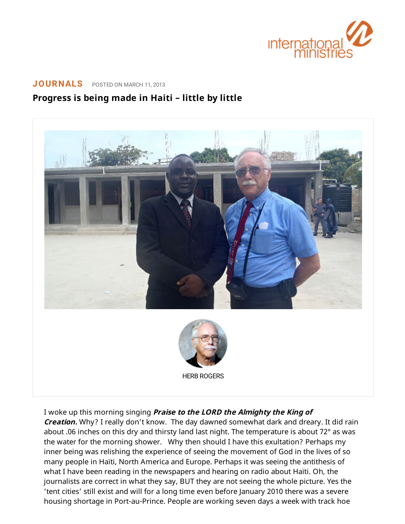

## **[JOURNALS](https://www.internationalministries.org/category/journals/)** POSTED ON MARCH 11, 2013

## **Progress is being made in Haiti – little by little**



I woke up this morning singing **Praise to the LORD the Almighty the King of**

**Creation.** Why? I really don't know. The day dawned somewhat dark and dreary. It did rain about .06 inches on this dry and thirsty land last night. The temperature is about 72° as was the water for the morning shower. Why then should I have this exultation? Perhaps my inner being was relishing the experience of seeing the movement of God in the lives of so many people in Haïti, North America and Europe. Perhaps it was seeing the antithesis of what I have been reading in the newspapers and hearing on radio about Haïti. Oh, the journalists are correct in what they say, BUT they are not seeing the whole picture. Yes the 'tent cities' still exist and will for a long time even before January 2010 there was a severe housing shortage in Port-au-Prince. People are working seven days a week with track hoe